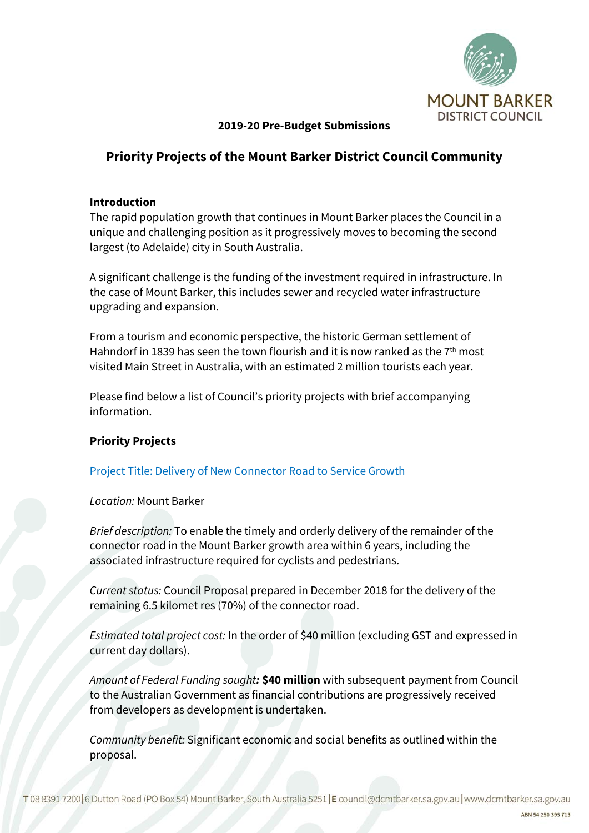

# **2019-20 Pre-Budget Submissions**

# **Priority Projects of the Mount Barker District Council Community**

### **Introduction**

The rapid population growth that continues in Mount Barker places the Council in a unique and challenging position as it progressively moves to becoming the second largest (to Adelaide) city in South Australia.

A significant challenge is the funding of the investment required in infrastructure. In the case of Mount Barker, this includes sewer and recycled water infrastructure upgrading and expansion.

From a tourism and economic perspective, the historic German settlement of Hahndorf in 1839 has seen the town flourish and it is now ranked as the  $7<sup>th</sup>$  most visited Main Street in Australia, with an estimated 2 million tourists each year.

Please find below a list of Council's priority projects with brief accompanying information.

### **Priority Projects**

Project Title: Delivery of New Connector Road to Service Growth

*Location:* Mount Barker

*Brief description:* To enable the timely and orderly delivery of the remainder of the connector road in the Mount Barker growth area within 6 years, including the associated infrastructure required for cyclists and pedestrians.

*Current status:* Council Proposal prepared in December 2018 for the delivery of the remaining 6.5 kilomet res (70%) of the connector road.

*Estimated total project cost:* In the order of \$40 million (excluding GST and expressed in current day dollars).

*Amount of Federal Funding sought:* **\$40 million** with subsequent payment from Council to the Australian Government as financial contributions are progressively received from developers as development is undertaken.

*Community benefit:* Significant economic and social benefits as outlined within the proposal.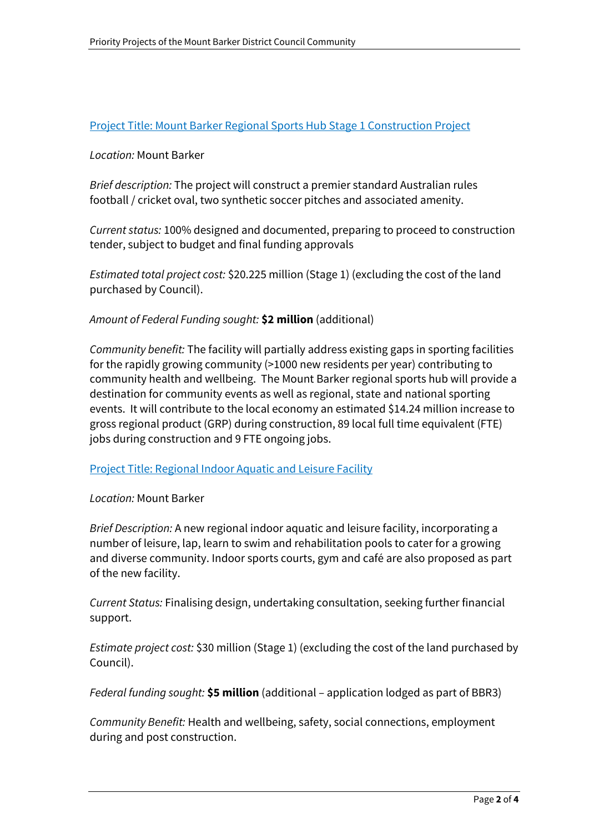## Project Title: Mount Barker Regional Sports Hub Stage 1 Construction Project

### *Location:* Mount Barker

*Brief description:* The project will construct a premier standard Australian rules football / cricket oval, two synthetic soccer pitches and associated amenity.

*Current status:* 100% designed and documented, preparing to proceed to construction tender, subject to budget and final funding approvals

*Estimated total project cost:* \$20.225 million (Stage 1) (excluding the cost of the land purchased by Council).

### *Amount of Federal Funding sought:* **\$2 million** (additional)

*Community benefit:* The facility will partially address existing gaps in sporting facilities for the rapidly growing community (>1000 new residents per year) contributing to community health and wellbeing. The Mount Barker regional sports hub will provide a destination for community events as well as regional, state and national sporting events. It will contribute to the local economy an estimated \$14.24 million increase to gross regional product (GRP) during construction, 89 local full time equivalent (FTE) jobs during construction and 9 FTE ongoing jobs.

#### Project Title: Regional Indoor Aquatic and Leisure Facility

#### *Location:* Mount Barker

*Brief Description:* A new regional indoor aquatic and leisure facility, incorporating a number of leisure, lap, learn to swim and rehabilitation pools to cater for a growing and diverse community. Indoor sports courts, gym and café are also proposed as part of the new facility.

*Current Status:* Finalising design, undertaking consultation, seeking further financial support.

*Estimate project cost:* \$30 million (Stage 1) (excluding the cost of the land purchased by Council).

*Federal funding sought:* **\$5 million** (additional – application lodged as part of BBR3)

*Community Benefit:* Health and wellbeing, safety, social connections, employment during and post construction.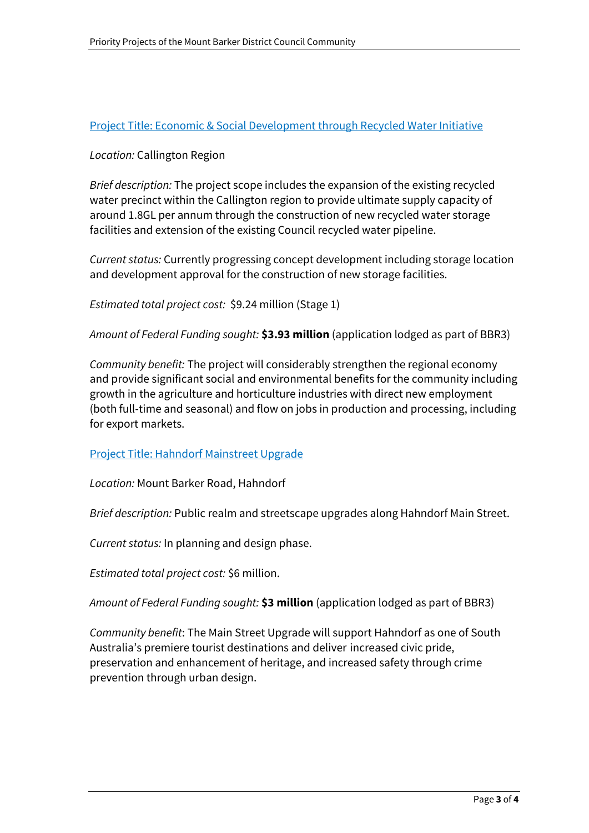# Project Title: Economic & Social Development through Recycled Water Initiative

### *Location:* Callington Region

*Brief description:* The project scope includes the expansion of the existing recycled water precinct within the Callington region to provide ultimate supply capacity of around 1.8GL per annum through the construction of new recycled water storage facilities and extension of the existing Council recycled water pipeline.

*Current status:* Currently progressing concept development including storage location and development approval for the construction of new storage facilities.

*Estimated total project cost:* \$9.24 million (Stage 1)

*Amount of Federal Funding sought:* **\$3.93 million** (application lodged as part of BBR3)

*Community benefit:* The project will considerably strengthen the regional economy and provide significant social and environmental benefits for the community including growth in the agriculture and horticulture industries with direct new employment (both full-time and seasonal) and flow on jobs in production and processing, including for export markets.

### Project Title: Hahndorf Mainstreet Upgrade

*Location:* Mount Barker Road, Hahndorf

*Brief description:* Public realm and streetscape upgrades along Hahndorf Main Street.

*Current status:* In planning and design phase.

*Estimated total project cost:* \$6 million.

*Amount of Federal Funding sought:* **\$3 million** (application lodged as part of BBR3)

*Community benefit*: The Main Street Upgrade will support Hahndorf as one of South Australia's premiere tourist destinations and deliver increased civic pride, preservation and enhancement of heritage, and increased safety through crime prevention through urban design.